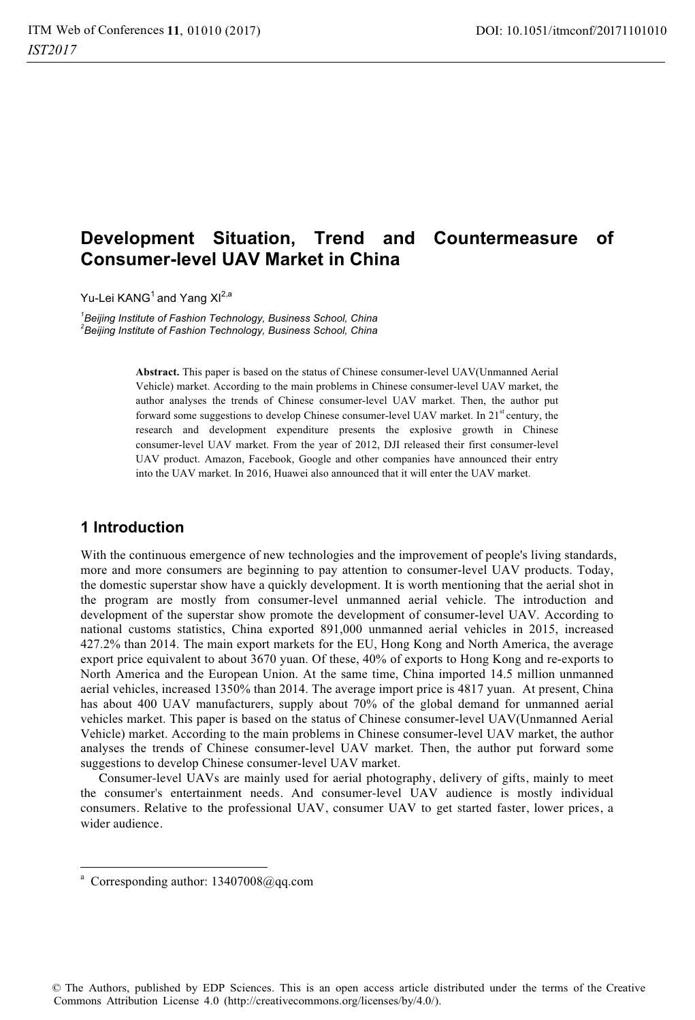# **Development Situation, Trend and Countermeasure of Consumer-level UAV Market in China**

Yu-Lei KANG<sup>1</sup> and Yang XI<sup>2,a</sup>

<sup>1</sup>Beijing Institute of Fashion Technology, Business School, China *Beijing Institute of Fashion Technology, Business School, China 2 Beijing Institute of Fashion Technology, Business School, China* 

> **Abstract.** This paper is based on the status of Chinese consumer-level UAV(Unmanned Aerial Vehicle) market. According to the main problems in Chinese consumer-level UAV market, the author analyses the trends of Chinese consumer-level UAV market. Then, the author put forward some suggestions to develop Chinese consumer-level UAV market. In  $21<sup>st</sup>$  century, the research and development expenditure presents the explosive growth in Chinese consumer-level UAV market. From the year of 2012, DJI released their first consumer-level UAV product. Amazon, Facebook, Google and other companies have announced their entry into the UAV market. In 2016, Huawei also announced that it will enter the UAV market.

### **1 Introduction**

-----------------------------------

With the continuous emergence of new technologies and the improvement of people's living standards, more and more consumers are beginning to pay attention to consumer-level UAV products. Today, the domestic superstar show have a quickly development. It is worth mentioning that the aerial shot in the program are mostly from consumer-level unmanned aerial vehicle. The introduction and development of the superstar show promote the development of consumer-level UAV. According to national customs statistics, China exported 891,000 unmanned aerial vehicles in 2015, increased 427.2% than 2014. The main export markets for the EU, Hong Kong and North America, the average export price equivalent to about 3670 yuan. Of these, 40% of exports to Hong Kong and re-exports to North America and the European Union. At the same time, China imported 14.5 million unmanned aerial vehicles, increased 1350% than 2014. The average import price is 4817 yuan. At present, China has about 400 UAV manufacturers, supply about 70% of the global demand for unmanned aerial vehicles market. This paper is based on the status of Chinese consumer-level UAV(Unmanned Aerial Vehicle) market. According to the main problems in Chinese consumer-level UAV market, the author analyses the trends of Chinese consumer-level UAV market. Then, the author put forward some suggestions to develop Chinese consumer-level UAV market.

Consumer-level UAVs are mainly used for aerial photography, delivery of gifts, mainly to meet the consumer's entertainment needs. And consumer-level UAV audience is mostly individual consumers. Relative to the professional UAV, consumer UAV to get started faster, lower prices, a wider audience.

--------------------

© The Authors, published by EDP Sciences. This is an open access article distributed under the terms of the Creative Commons Attribution License 4.0 (http://creativecommons.org/licenses/by/4.0/).

<sup>-</sup>---- a Corresponding author: 13407008@qq.com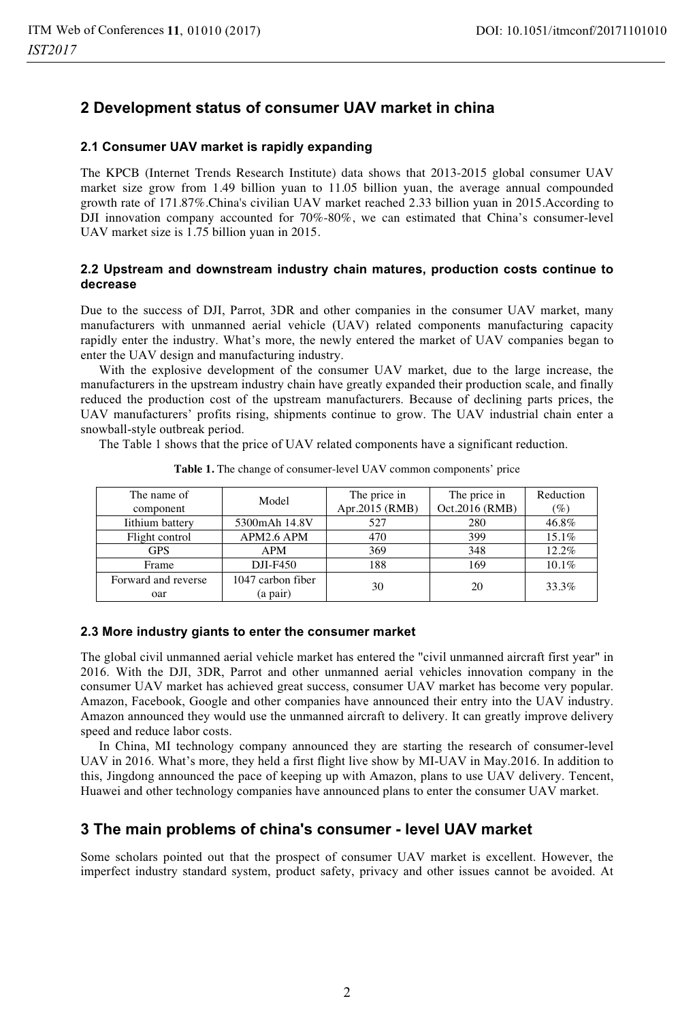## **2 Development status of consumer UAV market in china**

### **2.1 Consumer UAV market is rapidly expanding**

The KPCB (Internet Trends Research Institute) data shows that 2013-2015 global consumer UAV market size grow from 1.49 billion yuan to 11.05 billion yuan, the average annual compounded growth rate of 171.87%.China's civilian UAV market reached 2.33 billion yuan in 2015.According to DJI innovation company accounted for 70%-80%, we can estimated that China's consumer-level UAV market size is 1.75 billion yuan in 2015.

### **2.2 Upstream and downstream industry chain matures, production costs continue to decrease**

Due to the success of DJI, Parrot, 3DR and other companies in the consumer UAV market, many manufacturers with unmanned aerial vehicle (UAV) related components manufacturing capacity rapidly enter the industry. What's more, the newly entered the market of UAV companies began to enter the UAV design and manufacturing industry.

With the explosive development of the consumer UAV market, due to the large increase, the manufacturers in the upstream industry chain have greatly expanded their production scale, and finally reduced the production cost of the upstream manufacturers. Because of declining parts prices, the UAV manufacturers' profits rising, shipments continue to grow. The UAV industrial chain enter a snowball-style outbreak period.

The Table 1 shows that the price of UAV related components have a significant reduction.

| The name of<br>component   | Model                         | The price in<br>Apr.2015 (RMB) | The price in<br>Oct.2016 (RMB) | Reduction<br>$(\%)$ |
|----------------------------|-------------------------------|--------------------------------|--------------------------------|---------------------|
| Iithium battery            | 5300mAh 14.8V                 | 527                            | 280                            | 46.8%               |
| Flight control             | APM2.6 APM                    | 470                            | 399                            | 15.1%               |
| <b>GPS</b>                 | <b>APM</b>                    | 369                            | 348                            | 12.2%               |
| Frame                      | DJI-F450                      | 188                            | 169                            | 10.1%               |
| Forward and reverse<br>oar | 1047 carbon fiber<br>(a pair) | 30                             | 20                             | 33.3%               |

**Table 1.** The change of consumer-level UAV common components' price

### **2.3 More industry giants to enter the consumer market**

The global civil unmanned aerial vehicle market has entered the "civil unmanned aircraft first year" in 2016. With the DJI, 3DR, Parrot and other unmanned aerial vehicles innovation company in the consumer UAV market has achieved great success, consumer UAV market has become very popular. Amazon, Facebook, Google and other companies have announced their entry into the UAV industry. Amazon announced they would use the unmanned aircraft to delivery. It can greatly improve delivery speed and reduce labor costs.

In China, MI technology company announced they are starting the research of consumer-level UAV in 2016. What's more, they held a first flight live show by MI-UAV in May.2016. In addition to this, Jingdong announced the pace of keeping up with Amazon, plans to use UAV delivery. Tencent, Huawei and other technology companies have announced plans to enter the consumer UAV market.

### **3 The main problems of china's consumer - level UAV market**

Some scholars pointed out that the prospect of consumer UAV market is excellent. However, the imperfect industry standard system, product safety, privacy and other issues cannot be avoided. At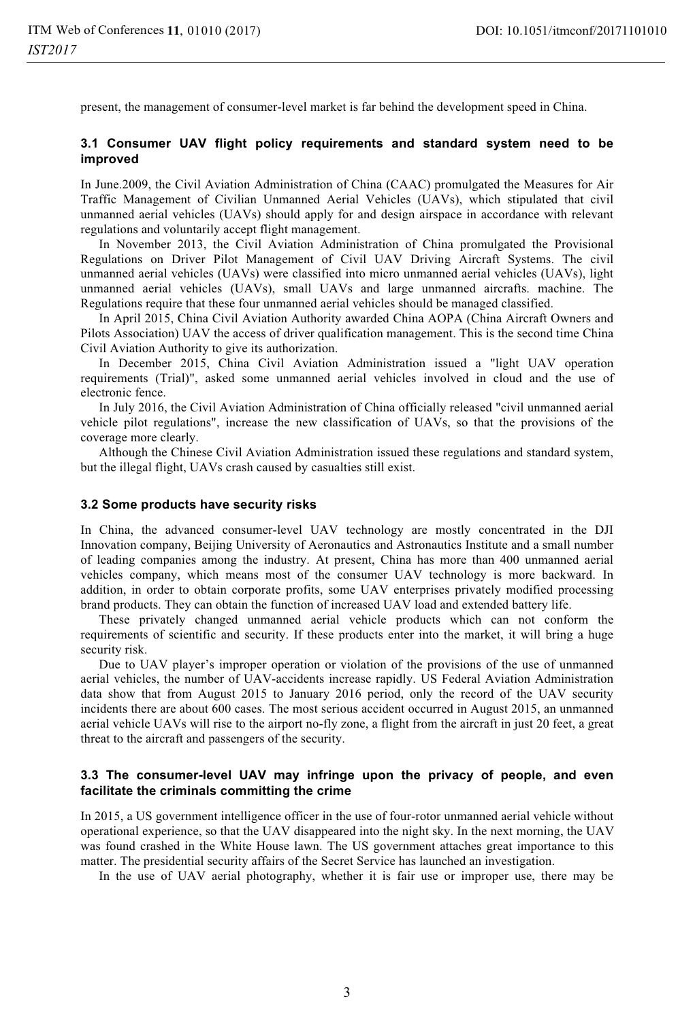present, the management of consumer-level market is far behind the development speed in China.

### **3.1 Consumer UAV flight policy requirements and standard system need to be improved**

In June.2009, the Civil Aviation Administration of China (CAAC) promulgated the Measures for Air Traffic Management of Civilian Unmanned Aerial Vehicles (UAVs), which stipulated that civil unmanned aerial vehicles (UAVs) should apply for and design airspace in accordance with relevant regulations and voluntarily accept flight management.

In November 2013, the Civil Aviation Administration of China promulgated the Provisional Regulations on Driver Pilot Management of Civil UAV Driving Aircraft Systems. The civil unmanned aerial vehicles (UAVs) were classified into micro unmanned aerial vehicles (UAVs), light unmanned aerial vehicles (UAVs), small UAVs and large unmanned aircrafts. machine. The Regulations require that these four unmanned aerial vehicles should be managed classified.

In April 2015, China Civil Aviation Authority awarded China AOPA (China Aircraft Owners and Pilots Association) UAV the access of driver qualification management. This is the second time China Civil Aviation Authority to give its authorization.

In December 2015, China Civil Aviation Administration issued a "light UAV operation requirements (Trial)", asked some unmanned aerial vehicles involved in cloud and the use of electronic fence.

In July 2016, the Civil Aviation Administration of China officially released "civil unmanned aerial vehicle pilot regulations", increase the new classification of UAVs, so that the provisions of the coverage more clearly.

Although the Chinese Civil Aviation Administration issued these regulations and standard system, but the illegal flight, UAVs crash caused by casualties still exist.

#### **3.2 Some products have security risks**

In China, the advanced consumer-level UAV technology are mostly concentrated in the DJI Innovation company, Beijing University of Aeronautics and Astronautics Institute and a small number of leading companies among the industry. At present, China has more than 400 unmanned aerial vehicles company, which means most of the consumer UAV technology is more backward. In addition, in order to obtain corporate profits, some UAV enterprises privately modified processing brand products. They can obtain the function of increased UAV load and extended battery life.

These privately changed unmanned aerial vehicle products which can not conform the requirements of scientific and security. If these products enter into the market, it will bring a huge security risk.

Due to UAV player's improper operation or violation of the provisions of the use of unmanned aerial vehicles, the number of UAV-accidents increase rapidly. US Federal Aviation Administration data show that from August 2015 to January 2016 period, only the record of the UAV security incidents there are about 600 cases. The most serious accident occurred in August 2015, an unmanned aerial vehicle UAVs will rise to the airport no-fly zone, a flight from the aircraft in just 20 feet, a great threat to the aircraft and passengers of the security.

### **3.3 The consumer-level UAV may infringe upon the privacy of people, and even facilitate the criminals committing the crime**

In 2015, a US government intelligence officer in the use of four-rotor unmanned aerial vehicle without operational experience, so that the UAV disappeared into the night sky. In the next morning, the UAV was found crashed in the White House lawn. The US government attaches great importance to this matter. The presidential security affairs of the Secret Service has launched an investigation.

In the use of UAV aerial photography, whether it is fair use or improper use, there may be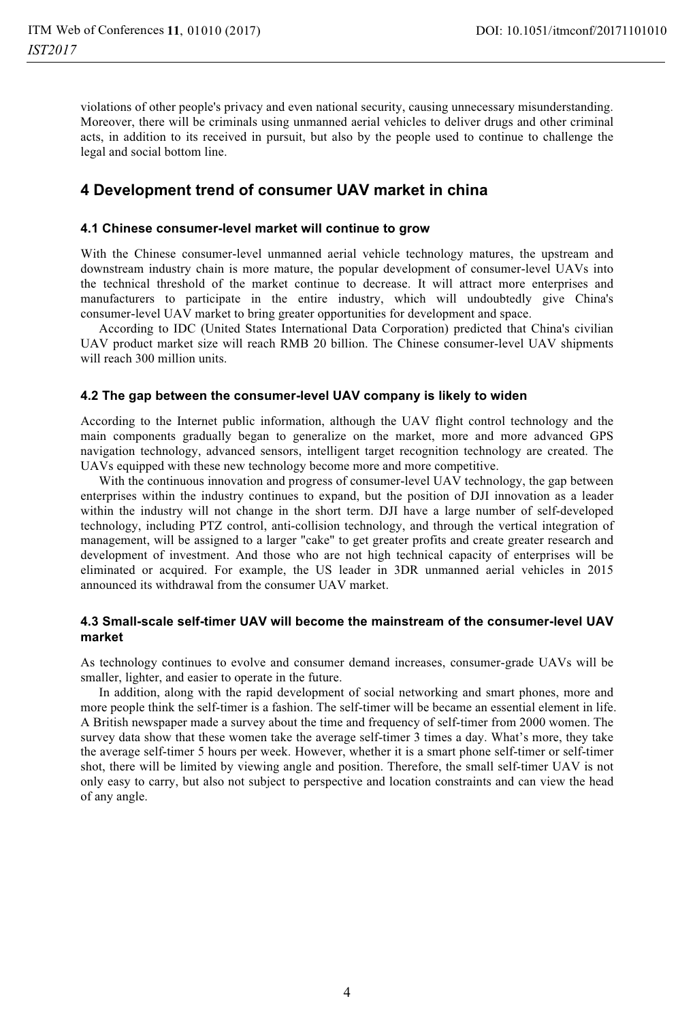violations of other people's privacy and even national security, causing unnecessary misunderstanding. Moreover, there will be criminals using unmanned aerial vehicles to deliver drugs and other criminal acts, in addition to its received in pursuit, but also by the people used to continue to challenge the legal and social bottom line.

## **4 Development trend of consumer UAV market in china**

### **4.1 Chinese consumer-level market will continue to grow**

With the Chinese consumer-level unmanned aerial vehicle technology matures, the upstream and downstream industry chain is more mature, the popular development of consumer-level UAVs into the technical threshold of the market continue to decrease. It will attract more enterprises and manufacturers to participate in the entire industry, which will undoubtedly give China's consumer-level UAV market to bring greater opportunities for development and space.

According to IDC (United States International Data Corporation) predicted that China's civilian UAV product market size will reach RMB 20 billion. The Chinese consumer-level UAV shipments will reach 300 million units.

### **4.2 The gap between the consumer-level UAV company is likely to widen**

According to the Internet public information, although the UAV flight control technology and the main components gradually began to generalize on the market, more and more advanced GPS navigation technology, advanced sensors, intelligent target recognition technology are created. The UAVs equipped with these new technology become more and more competitive.

With the continuous innovation and progress of consumer-level UAV technology, the gap between enterprises within the industry continues to expand, but the position of DJI innovation as a leader within the industry will not change in the short term. DJI have a large number of self-developed technology, including PTZ control, anti-collision technology, and through the vertical integration of management, will be assigned to a larger "cake" to get greater profits and create greater research and development of investment. And those who are not high technical capacity of enterprises will be eliminated or acquired. For example, the US leader in 3DR unmanned aerial vehicles in 2015 announced its withdrawal from the consumer UAV market.

### **4.3 Small-scale self-timer UAV will become the mainstream of the consumer-level UAV market**

As technology continues to evolve and consumer demand increases, consumer-grade UAVs will be smaller, lighter, and easier to operate in the future.

In addition, along with the rapid development of social networking and smart phones, more and more people think the self-timer is a fashion. The self-timer will be became an essential element in life. A British newspaper made a survey about the time and frequency of self-timer from 2000 women. The survey data show that these women take the average self-timer 3 times a day. What's more, they take the average self-timer 5 hours per week. However, whether it is a smart phone self-timer or self-timer shot, there will be limited by viewing angle and position. Therefore, the small self-timer UAV is not only easy to carry, but also not subject to perspective and location constraints and can view the head of any angle.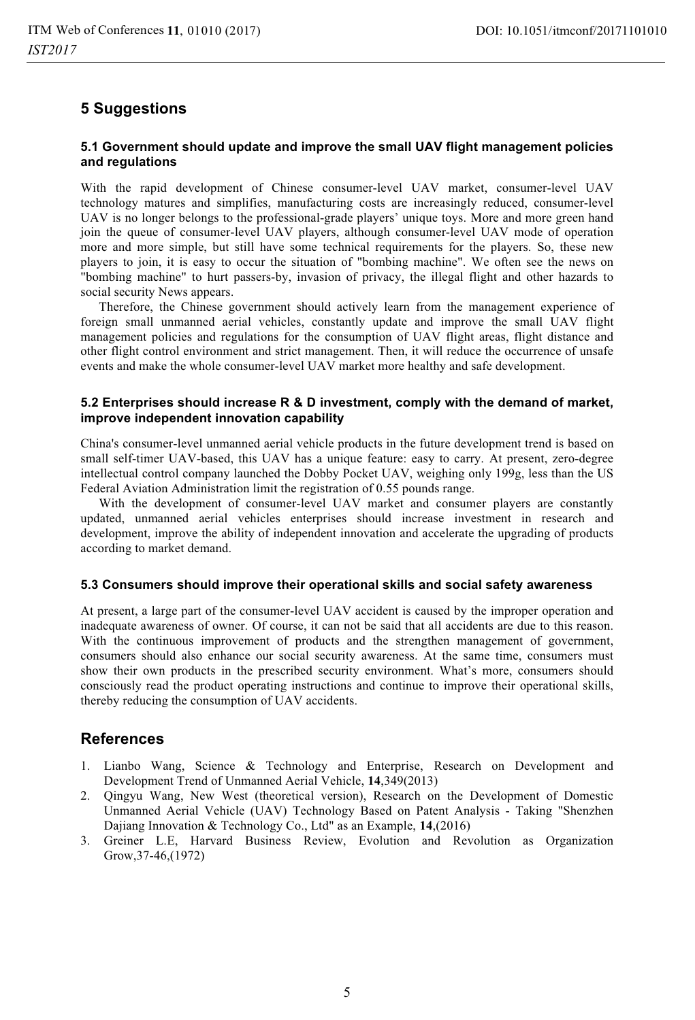# **5 Suggestions**

### **5.1 Government should update and improve the small UAV flight management policies and regulations**

With the rapid development of Chinese consumer-level UAV market, consumer-level UAV technology matures and simplifies, manufacturing costs are increasingly reduced, consumer-level UAV is no longer belongs to the professional-grade players' unique toys. More and more green hand join the queue of consumer-level UAV players, although consumer-level UAV mode of operation more and more simple, but still have some technical requirements for the players. So, these new players to join, it is easy to occur the situation of "bombing machine". We often see the news on "bombing machine" to hurt passers-by, invasion of privacy, the illegal flight and other hazards to social security News appears.

Therefore, the Chinese government should actively learn from the management experience of foreign small unmanned aerial vehicles, constantly update and improve the small UAV flight management policies and regulations for the consumption of UAV flight areas, flight distance and other flight control environment and strict management. Then, it will reduce the occurrence of unsafe events and make the whole consumer-level UAV market more healthy and safe development.

### **5.2 Enterprises should increase R & D investment, comply with the demand of market, improve independent innovation capability**

China's consumer-level unmanned aerial vehicle products in the future development trend is based on small self-timer UAV-based, this UAV has a unique feature: easy to carry. At present, zero-degree intellectual control company launched the Dobby Pocket UAV, weighing only 199g, less than the US Federal Aviation Administration limit the registration of 0.55 pounds range.

With the development of consumer-level UAV market and consumer players are constantly updated, unmanned aerial vehicles enterprises should increase investment in research and development, improve the ability of independent innovation and accelerate the upgrading of products according to market demand.

### **5.3 Consumers should improve their operational skills and social safety awareness**

At present, a large part of the consumer-level UAV accident is caused by the improper operation and inadequate awareness of owner. Of course, it can not be said that all accidents are due to this reason. With the continuous improvement of products and the strengthen management of government, consumers should also enhance our social security awareness. At the same time, consumers must show their own products in the prescribed security environment. What's more, consumers should consciously read the product operating instructions and continue to improve their operational skills, thereby reducing the consumption of UAV accidents.

### **References**

- 1. Lianbo Wang, Science & Technology and Enterprise, Research on Development and Development Trend of Unmanned Aerial Vehicle, **14**,349(2013)
- 2. Qingyu Wang, New West (theoretical version), Research on the Development of Domestic Unmanned Aerial Vehicle (UAV) Technology Based on Patent Analysis - Taking "Shenzhen Dajiang Innovation & Technology Co., Ltd" as an Example, **14**,(2016)
- 3. Greiner L.E, Harvard Business Review, Evolution and Revolution as Organization Grow,37-46,(1972)